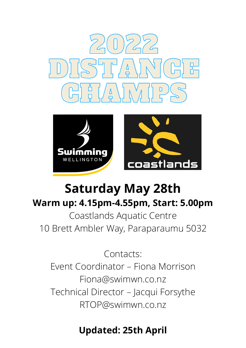



# **Saturday May 28th Warm up: 4.15pm-4.55pm, Start: 5.00pm**

Coastlands Aquatic Centre 10 Brett Ambler Way, Paraparaumu 5032

Contacts: Event Coordinator – Fiona Morrison Fiona@swimwn.co.nz Technical Director – Jacqui Forsythe RTOP@swimwn.co.nz

## **Updated: 25th April**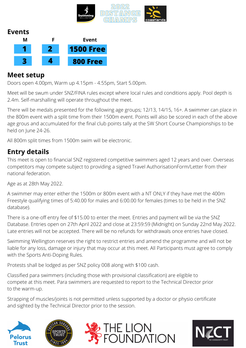

#### **Events**



#### **Meet setup**

Doors open 4.00pm, Warm up 4.15pm - 4.55pm, Start 5.00pm.

Meet will be swum under SNZ/FINA rules except where local rules and conditions apply. Pool depth is 2.4m. Self-marshalling will operate throughout the meet.

There will be medals presented for the following age groups; 12/13, 14/15, 16+. A swimmer can place in the 800m event with a split time from their 1500m event. Points will also be scored in each of the above age grous and accumulated for the final club points tally at the SW Short Course Championships to be held on June 24-26.

All 800m split times from 1500m swim will be electronic.

#### **Entry details**

This meet is open to financial SNZ registered competitive swimmers aged 12 years and over. Overseas competitors may compete subject to providing a signed Travel AuthorisationForm/Letter from their national federation.

Age as at 28th May 2022.

A swimmer may enter either the 1500m or 800m event with a NT ONLY if they have met the 400m Freestyle qualifying times of 5:40.00 for males and 6:00.00 for females (times to be held in the SNZ database).

There is a one-off entry fee of \$15.00 to enter the meet. Entries and payment will be via the SNZ Database. Entries open on 27th April 2022 and close at 23:59:59 (Midnight) on Sunday 22nd May 2022. Late entries will not be accepted. There will be no refunds for withdrawals once entries have closed.

Swimming Wellington reserves the right to restrict entries and amend the programme and will not be liable for any loss, damage or injury that may occur at this meet. All Participants must agree to comply with the Sports Anti-Doping Rules.

Protests shall be lodged as per SNZ policy 008 along with \$100 cash.

Classified para swimmers (including those with provisional classification) are eligible to compete at this meet. Para swimmers are requested to report to the Technical Director prior to the warm-up.

Strapping of muscles/joints is not permitted unless supported by a doctor or physio certificate and sighted by the Technical Director prior to the session.